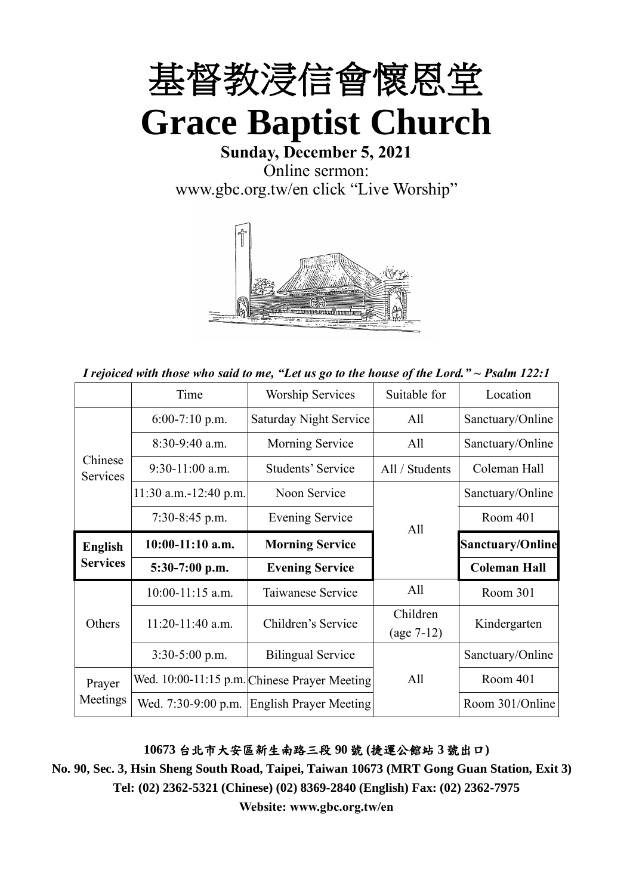

**Sunday, December 5, 2021** Online sermon: [www.gbc.org.tw/en](http://www.gbc.org.tw/en) click "Live Worship"



*I rejoiced with those who said to me, "Let us go to the house of the Lord." ~ Psalm 122:1*

|                                   | Time                    | <b>Worship Services</b>                      | Suitable for   | Location                |
|-----------------------------------|-------------------------|----------------------------------------------|----------------|-------------------------|
|                                   | $6:00-7:10$ p.m.        | <b>Saturday Night Service</b>                | All            | Sanctuary/Online        |
|                                   | $8:30-9:40$ a.m.        | Morning Service                              | All            | Sanctuary/Online        |
| Chinese<br>Services               | $9:30-11:00$ a.m.       | <b>Students' Service</b>                     | All / Students | Coleman Hall            |
|                                   | $11:30$ a.m.-12:40 p.m. | Noon Service                                 |                | Sanctuary/Online        |
|                                   | 7:30-8:45 p.m.          | <b>Evening Service</b>                       | All            | Room 401                |
| <b>English</b><br><b>Services</b> | $10:00-11:10$ a.m.      | <b>Morning Service</b>                       |                | <b>Sanctuary/Online</b> |
|                                   | $5:30-7:00$ p.m.        | <b>Evening Service</b>                       |                | <b>Coleman Hall</b>     |
|                                   | $10:00-11:15$ a.m.      | Taiwanese Service                            | All            | Room 301                |
| Others                            | $11:20-11:40$ a.m.      | Children's Service                           | Children       | Kindergarten            |
|                                   | 3:30-5:00 p.m.          | <b>Bilingual Service</b>                     | $(age 7-12)$   | Sanctuary/Online        |
|                                   |                         |                                              |                |                         |
| Prayer                            |                         | Wed. 10:00-11:15 p.m. Chinese Prayer Meeting | All            | Room 401                |
| Meetings                          | Wed. 7:30-9:00 p.m.     | <b>English Prayer Meeting</b>                |                | Room 301/Online         |

#### **10673** 台北市大安區新生南路三段 **90** 號 **(**捷運公館站 **3** 號出口**)**

**No. 90, Sec. 3, Hsin Sheng South Road, Taipei, Taiwan 10673 (MRT Gong Guan Station, Exit 3) Tel: (02) 2362-5321 (Chinese) (02) 8369-2840 (English) Fax: (02) 2362-7975**

**Website: www.gbc.org.tw/en**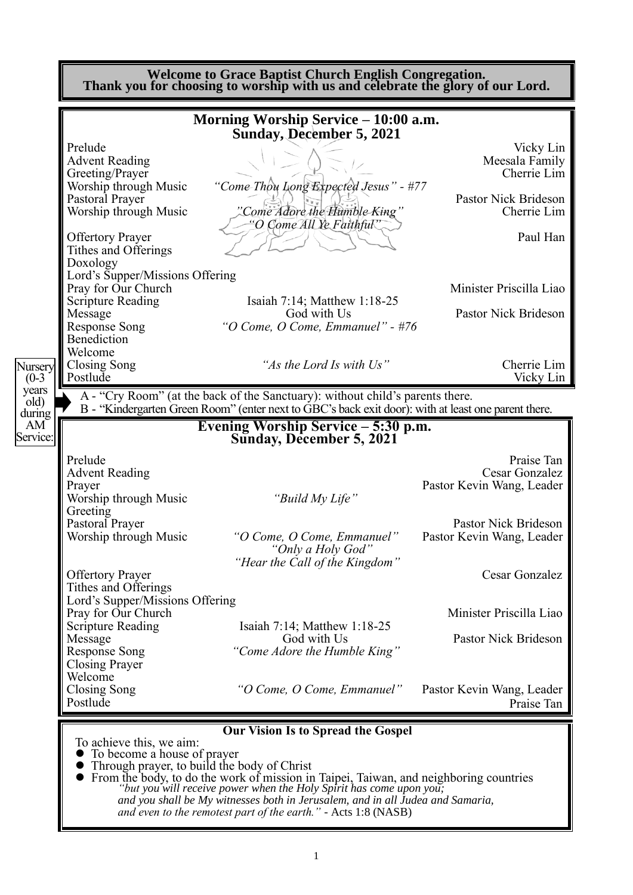|                                     | Morning Worship Service – 10:00 a.m.<br><b>Sunday, December 5, 2021</b>                                                                                                              |                                                                                                                                                             |
|-------------------------------------|--------------------------------------------------------------------------------------------------------------------------------------------------------------------------------------|-------------------------------------------------------------------------------------------------------------------------------------------------------------|
| Prelude                             |                                                                                                                                                                                      | Vicky Lin                                                                                                                                                   |
| <b>Advent Reading</b>               |                                                                                                                                                                                      | Meesala Family                                                                                                                                              |
| Greeting/Prayer                     |                                                                                                                                                                                      | Cherrie Lim                                                                                                                                                 |
| Worship through Music               | "Come-Thou Long Expected Jesus" - #77                                                                                                                                                |                                                                                                                                                             |
| Pastoral Prayer                     |                                                                                                                                                                                      | Pastor Nick Brideson                                                                                                                                        |
| Worship through Music               | Come Adore the Humble King"                                                                                                                                                          | Cherrie Lim                                                                                                                                                 |
| <b>Offertory Prayer</b>             | "O Come All Ye Faithful"                                                                                                                                                             | Paul Han                                                                                                                                                    |
| Tithes and Offerings                |                                                                                                                                                                                      |                                                                                                                                                             |
| Doxology                            |                                                                                                                                                                                      |                                                                                                                                                             |
| Lord's Supper/Missions Offering     |                                                                                                                                                                                      |                                                                                                                                                             |
| Pray for Our Church                 |                                                                                                                                                                                      | Minister Priscilla Liao                                                                                                                                     |
| <b>Scripture Reading</b>            | Isaiah 7:14; Matthew 1:18-25                                                                                                                                                         |                                                                                                                                                             |
| Message                             | God with Us                                                                                                                                                                          | Pastor Nick Brideson                                                                                                                                        |
| <b>Response Song</b><br>Benediction | "O Come, O Come, Emmanuel" - $\#76$                                                                                                                                                  |                                                                                                                                                             |
| Welcome                             |                                                                                                                                                                                      |                                                                                                                                                             |
| <b>Closing Song</b>                 | "As the Lord Is with Us"                                                                                                                                                             | Cherrie Lim                                                                                                                                                 |
| Postlude                            |                                                                                                                                                                                      | Vicky Lin                                                                                                                                                   |
|                                     | A - "Cry Room" (at the back of the Sanctuary): without child's parents there.<br>B - "Kindergarten Green Room" (enter next to GBC's back exit door): with at least one parent there. |                                                                                                                                                             |
|                                     |                                                                                                                                                                                      |                                                                                                                                                             |
|                                     |                                                                                                                                                                                      |                                                                                                                                                             |
|                                     | Evening Worship Service - 5:30 p.m.                                                                                                                                                  |                                                                                                                                                             |
|                                     | Sunday, December 5, 2021                                                                                                                                                             |                                                                                                                                                             |
| Prelude                             |                                                                                                                                                                                      |                                                                                                                                                             |
| <b>Advent Reading</b>               |                                                                                                                                                                                      |                                                                                                                                                             |
| Prayer                              |                                                                                                                                                                                      |                                                                                                                                                             |
| Worship through Music               | "Build My Life"                                                                                                                                                                      |                                                                                                                                                             |
| Greeting                            |                                                                                                                                                                                      |                                                                                                                                                             |
| Pastoral Prayer                     |                                                                                                                                                                                      |                                                                                                                                                             |
| Worship through Music               | "O Come, O Come, Emmanuel"                                                                                                                                                           |                                                                                                                                                             |
|                                     | "Only a Holy God"<br>"Hear the Call of the Kingdom"                                                                                                                                  |                                                                                                                                                             |
| <b>Offertory Prayer</b>             |                                                                                                                                                                                      |                                                                                                                                                             |
| Tithes and Offerings                |                                                                                                                                                                                      |                                                                                                                                                             |
| Lord's Supper/Missions Offering     |                                                                                                                                                                                      |                                                                                                                                                             |
| Pray for Our Church                 |                                                                                                                                                                                      |                                                                                                                                                             |
| <b>Scripture Reading</b>            | Isaiah 7:14; Matthew 1:18-25                                                                                                                                                         | Praise Tan<br>Cesar Gonzalez<br>Pastor Kevin Wang, Leader<br>Pastor Nick Brideson<br>Pastor Kevin Wang, Leader<br>Cesar Gonzalez<br>Minister Priscilla Liao |
| Message                             | God with Us                                                                                                                                                                          | Pastor Nick Brideson                                                                                                                                        |
| Response Song                       | "Come Adore the Humble King"                                                                                                                                                         |                                                                                                                                                             |
| <b>Closing Prayer</b><br>Welcome    |                                                                                                                                                                                      |                                                                                                                                                             |
| Closing Song                        | "O Come, O Come, Emmanuel"                                                                                                                                                           | Pastor Kevin Wang, Leader                                                                                                                                   |
| Postlude                            |                                                                                                                                                                                      | Praise Tan                                                                                                                                                  |

⚫ From the body, to do the work of mission in Taipei, Taiwan, and neighboring countries *"but you will receive power when the Holy Spirit has come upon you; and you shall be My witnesses both in Jerusalem, and in all Judea and Samaria, and even to the remotest part of the earth." -* Acts 1:8 (NASB)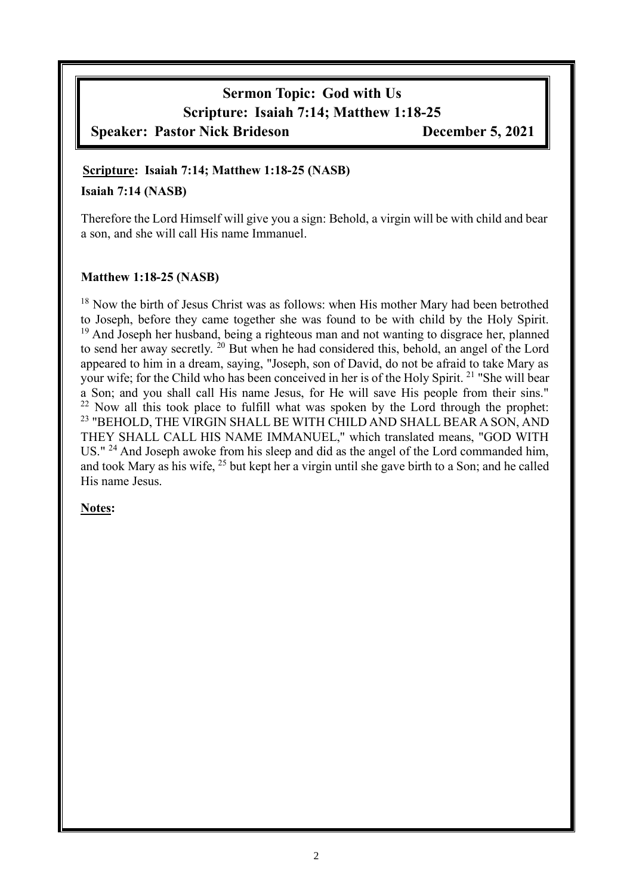# **Sermon Topic: God with Us Scripture: Isaiah 7:14; Matthew 1:18-25 Speaker: Pastor Nick Brideson December 5, 2021**

#### **Scripture: Isaiah 7:14; Matthew 1:18-25 (NASB)**

#### **Isaiah 7:14 (NASB)**

Therefore the Lord Himself will give you a sign: Behold, a virgin will be with child and bear a son, and she will call His name Immanuel.

#### **Matthew 1:18-25 (NASB)**

<sup>18</sup> Now the birth of Jesus Christ was as follows: when His mother Mary had been betrothed to Joseph, before they came together she was found to be with child by the Holy Spirit.  $19$  And Joseph her husband, being a righteous man and not wanting to disgrace her, planned to send her away secretly. <sup>20</sup> But when he had considered this, behold, an angel of the Lord appeared to him in a dream, saying, "Joseph, son of David, do not be afraid to take Mary as your wife; for the Child who has been conceived in her is of the Holy Spirit. <sup>21</sup> "She will bear a Son; and you shall call His name Jesus, for He will save His people from their sins." <sup>22</sup> Now all this took place to fulfill what was spoken by the Lord through the prophet: <sup>23</sup> "BEHOLD, THE VIRGIN SHALL BE WITH CHILD AND SHALL BEAR A SON, AND THEY SHALL CALL HIS NAME IMMANUEL," which translated means, "GOD WITH US." <sup>24</sup> And Joseph awoke from his sleep and did as the angel of the Lord commanded him, and took Mary as his wife, <sup>25</sup> but kept her a virgin until she gave birth to a Son; and he called His name Jesus.

#### **Notes:**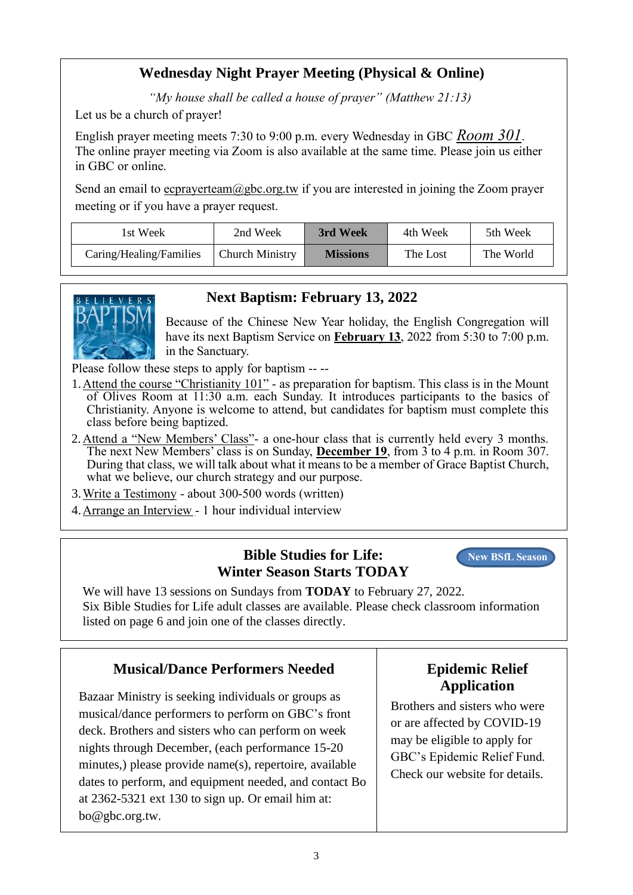# **Wednesday Night Prayer Meeting (Physical & Online)**

*"My house shall be called a house of prayer" (Matthew 21:13)*

Let us be a church of prayer!

English prayer meeting meets 7:30 to 9:00 p.m. every Wednesday in GBC *Room 301*. The online prayer meeting via Zoom is also available at the same time. Please join us either in GBC or online.

Send an email to ecprayerteam@gbc.org.tw if you are interested in joining the Zoom prayer meeting or if you have a prayer request.

| 1st Week                | 2nd Week               | 3rd Week        | 4th Week | 5th Week  |
|-------------------------|------------------------|-----------------|----------|-----------|
| Caring/Healing/Families | <b>Church Ministry</b> | <b>Missions</b> | The Lost | The World |



## **Next Baptism: February 13, 2022**

Because of the Chinese New Year holiday, the English Congregation will have its next Baptism Service on **February 13**, 2022 from 5:30 to 7:00 p.m. in the Sanctuary.

Please follow these steps to apply for baptism -- --

- 1.Attend the course "Christianity 101" as preparation for baptism. This class is in the Mount of Olives Room at 11:30 a.m. each Sunday. It introduces participants to the basics of Christianity. Anyone is welcome to attend, but candidates for baptism must complete this class before being baptized.
- 2.Attend a "New Members' Class"- a one-hour class that is currently held every 3 months. The next New Members' class is on Sunday, **December 19**, from 3 to 4 p.m. in Room 307. During that class, we will talk about what it means to be a member of Grace Baptist Church, what we believe, our church strategy and our purpose.
- 3.Write a Testimony about 300-500 words (written)
- 4.Arrange an Interview 1 hour individual interview

## **Bible Studies for Life: Winter Season Starts TODAY**

**New BSfL Season**

We will have 13 sessions on Sundays from **TODAY** to February 27, 2022. Six Bible Studies for Life adult classes are available. Please check classroom information listed on page 6 and join one of the classes directly.

### **Musical/Dance Performers Needed**

Bazaar Ministry is seeking individuals or groups as musical/dance performers to perform on GBC's front deck. Brothers and sisters who can perform on week nights through December, (each performance 15-20 minutes,) please provide name(s), repertoire, available dates to perform, and equipment needed, and contact Bo at 2362-5321 ext 130 to sign up. Or email him at: bo@gbc.org.tw.

# **Epidemic Relief Application**

Brothers and sisters who were or are affected by COVID-19 may be eligible to apply for GBC's Epidemic Relief Fund. Check our website for details.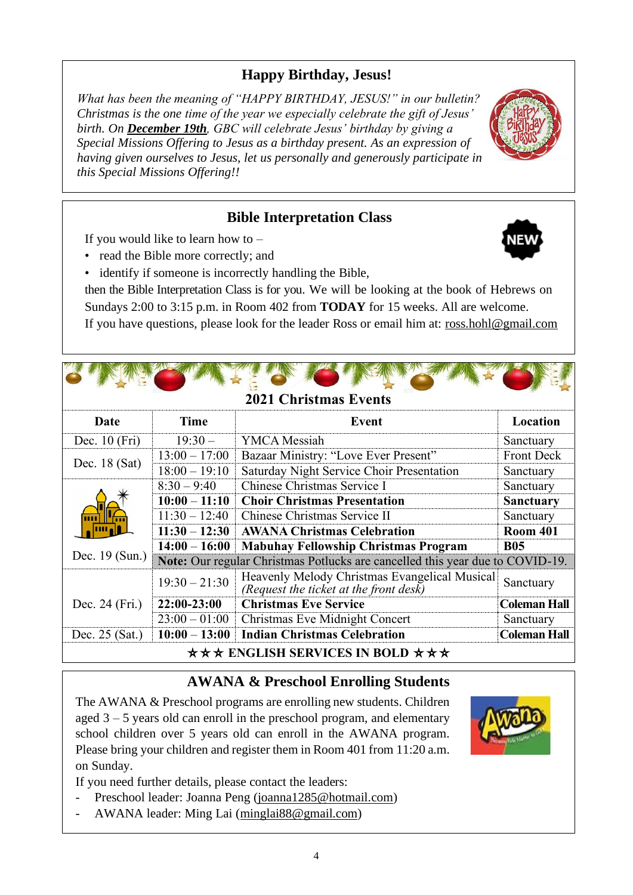# **Happy Birthday, Jesus!**

*What has been the meaning of "HAPPY BIRTHDAY, JESUS!" in our bulletin? Christmas is the one time of the year we especially celebrate the gift of Jesus' birth. On December 19th, GBC will celebrate Jesus' birthday by giving a Special Missions Offering to Jesus as a birthday present. As an expression of having given ourselves to Jesus, let us personally and generously participate in this Special Missions Offering!!*

## **Bible Interpretation Class**

If you would like to learn how to  $-$ 

- read the Bible more correctly; and
- identify if someone is incorrectly handling the Bible,

then the Bible Interpretation Class is for you. We will be looking at the book of Hebrews on Sundays 2:00 to 3:15 p.m. in Room 402 from **TODAY** for 15 weeks. All are welcome. If you have questions, please look for the leader Ross or email him at: ross.hohl@gmail.com

# **2021 Christmas Events**

| <b>Date</b>      | <b>Time</b>                                                      | Event                                                                                   | Location            |  |  |
|------------------|------------------------------------------------------------------|-----------------------------------------------------------------------------------------|---------------------|--|--|
| Dec. $10$ (Fri)  | $19:30-$                                                         | <b>YMCA</b> Messiah                                                                     | Sanctuary           |  |  |
| Dec. $18$ (Sat)  | $13:00 - 17:00$                                                  | Bazaar Ministry: "Love Ever Present"                                                    | <b>Front Deck</b>   |  |  |
|                  | $18:00 - 19:10$                                                  | Saturday Night Service Choir Presentation                                               | Sanctuary           |  |  |
|                  | $8:30 - 9:40$                                                    | Chinese Christmas Service I                                                             | Sanctuary           |  |  |
|                  | $10:00 - 11:10$                                                  | <b>Choir Christmas Presentation</b>                                                     | <b>Sanctuary</b>    |  |  |
|                  | $11:30 - 12:40$                                                  | Chinese Christmas Service II<br>Sanctuary                                               |                     |  |  |
|                  | $11:30 - 12:30$                                                  | <b>AWANA Christmas Celebration</b>                                                      | <b>Room 401</b>     |  |  |
|                  | $14:00 - 16:00$                                                  | <b>Mabuhay Fellowship Christmas Program</b>                                             | <b>B05</b>          |  |  |
| Dec. 19 (Sun.)   |                                                                  | Note: Our regular Christmas Potlucks are cancelled this year due to COVID-19.           |                     |  |  |
|                  | $19:30 - 21:30$                                                  | Heavenly Melody Christmas Evangelical Musical<br>(Request the ticket at the front desk) | Sanctuary           |  |  |
| Dec. 24 (Fri.)   | 22:00-23:00                                                      | <b>Christmas Eve Service</b><br><b>Coleman Hall</b>                                     |                     |  |  |
|                  | $23:00 - 01:00$                                                  | Christmas Eve Midnight Concert                                                          | Sanctuary           |  |  |
| Dec. $25$ (Sat.) | <b>Indian Christmas Celebration</b><br>$10:00 - 13:00$           |                                                                                         | <b>Coleman Hall</b> |  |  |
|                  | $\star \star \star$ ENGLISH SERVICES IN BOLD $\star \star \star$ |                                                                                         |                     |  |  |

# **AWANA & Preschool Enrolling Students**

The AWANA & Preschool programs are enrolling new students. Children aged 3 – 5 years old can enroll in the preschool program, and elementary school children over 5 years old can enroll in the AWANA program. Please bring your children and register them in Room 401 from 11:20 a.m. on Sunday.

If you need further details, please contact the leaders:

- Preschool leader: Joanna Peng [\(joanna1285@hotmail.com\)](mailto:joanna1285@hotmail.com)
- AWANA leader: Ming Lai [\(minglai88@gmail.com\)](mailto:minglai88@gmail.com)





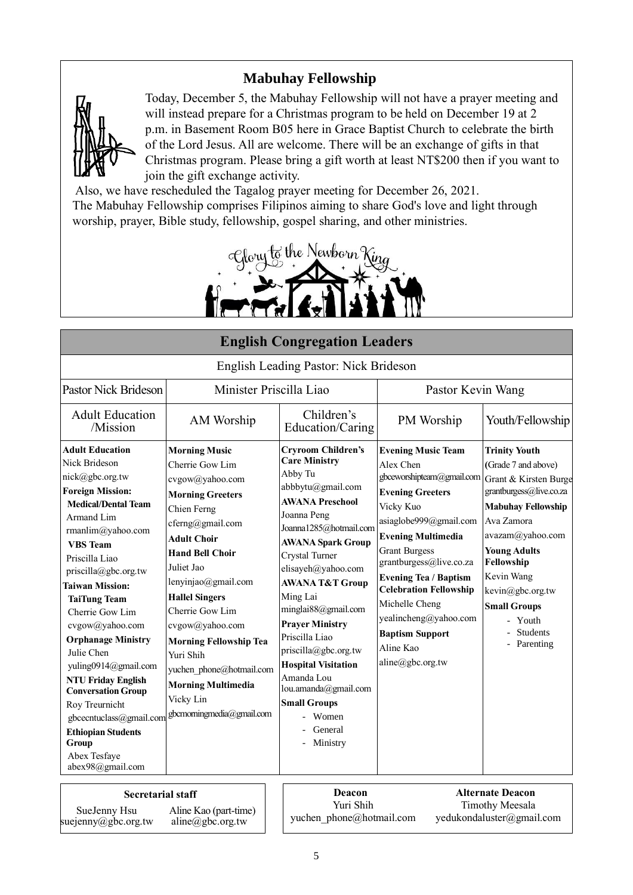# **Mabuhay Fellowship**



suejenny@gbc.org.tw

aline@gbc.org.tw

Today, December 5, the Mabuhay Fellowship will not have a prayer meeting and will instead prepare for a Christmas program to be held on December 19 at 2 p.m. in Basement Room B05 here in Grace Baptist Church to celebrate the birth of the Lord Jesus. All are welcome. There will be an exchange of gifts in that Christmas program. Please bring a gift worth at least NT\$200 then if you want to join the gift exchange activity.

Also, we have rescheduled the Tagalog prayer meeting for December 26, 2021. The Mabuhay Fellowship comprises Filipinos aiming to share God's love and light through worship, prayer, Bible study, fellowship, gospel sharing, and other ministries.



| <b>English Congregation Leaders</b>                                                                                                                                                                                                                                                                                                                                                                                                                                                                                                                            |                                                                                                                                                                                                                                                                                                                                                                                                                               |                                                                                                                                                                                                                                                                                                                                                                                                                                                                                                            |                                                                                                                                                                                                                                                                                                                                                                                              |                                                                                                                                                                                                                                                                                                           |  |
|----------------------------------------------------------------------------------------------------------------------------------------------------------------------------------------------------------------------------------------------------------------------------------------------------------------------------------------------------------------------------------------------------------------------------------------------------------------------------------------------------------------------------------------------------------------|-------------------------------------------------------------------------------------------------------------------------------------------------------------------------------------------------------------------------------------------------------------------------------------------------------------------------------------------------------------------------------------------------------------------------------|------------------------------------------------------------------------------------------------------------------------------------------------------------------------------------------------------------------------------------------------------------------------------------------------------------------------------------------------------------------------------------------------------------------------------------------------------------------------------------------------------------|----------------------------------------------------------------------------------------------------------------------------------------------------------------------------------------------------------------------------------------------------------------------------------------------------------------------------------------------------------------------------------------------|-----------------------------------------------------------------------------------------------------------------------------------------------------------------------------------------------------------------------------------------------------------------------------------------------------------|--|
|                                                                                                                                                                                                                                                                                                                                                                                                                                                                                                                                                                |                                                                                                                                                                                                                                                                                                                                                                                                                               | English Leading Pastor: Nick Brideson                                                                                                                                                                                                                                                                                                                                                                                                                                                                      |                                                                                                                                                                                                                                                                                                                                                                                              |                                                                                                                                                                                                                                                                                                           |  |
| <b>Pastor Nick Brideson</b>                                                                                                                                                                                                                                                                                                                                                                                                                                                                                                                                    | Minister Priscilla Liao                                                                                                                                                                                                                                                                                                                                                                                                       |                                                                                                                                                                                                                                                                                                                                                                                                                                                                                                            | Pastor Kevin Wang                                                                                                                                                                                                                                                                                                                                                                            |                                                                                                                                                                                                                                                                                                           |  |
| <b>Adult Education</b><br>/Mission                                                                                                                                                                                                                                                                                                                                                                                                                                                                                                                             | AM Worship                                                                                                                                                                                                                                                                                                                                                                                                                    | Children's<br>Education/Caring                                                                                                                                                                                                                                                                                                                                                                                                                                                                             | PM Worship                                                                                                                                                                                                                                                                                                                                                                                   | Youth/Fellowship                                                                                                                                                                                                                                                                                          |  |
| <b>Adult Education</b><br>Nick Brideson<br>nick@gbc.org.tw<br><b>Foreign Mission:</b><br><b>Medical/Dental Team</b><br>Armand Lim<br>rmanlim@yahoo.com<br><b>VBS</b> Team<br>Priscilla Liao<br>priscilla@gbc.org.tw<br><b>Taiwan Mission:</b><br><b>TaiTung Team</b><br>Cherrie Gow Lim<br>cvgow@yahoo.com<br><b>Orphanage Ministry</b><br>Julie Chen<br>yuling0914@gmail.com<br><b>NTU Friday English</b><br><b>Conversation Group</b><br>Roy Treurnicht<br>gbcecntuclass@gmail.com<br><b>Ethiopian Students</b><br>Group<br>Abex Tesfaye<br>abex98@gmail.com | <b>Morning Music</b><br>Cherrie Gow Lim<br>cvgow@yahoo.com<br><b>Morning Greeters</b><br>Chien Ferng<br>cferng@gmail.com<br><b>Adult Choir</b><br><b>Hand Bell Choir</b><br>Juliet Jao<br>lenyinjao@gmail.com<br><b>Hallel Singers</b><br>Cherrie Gow Lim<br>cvgow@yahoo.com<br><b>Morning Fellowship Tea</b><br>Yuri Shih<br>yuchen phone@hotmail.com<br><b>Morning Multimedia</b><br>Vicky Lin<br>gbcmorningmedia@gmail.com | <b>Cryroom Children's</b><br><b>Care Ministry</b><br>Abby Tu<br>abbbytu@gmail.com<br><b>AWANA Preschool</b><br>Joanna Peng<br>Joanna1285@hotmail.com<br><b>AWANA Spark Group</b><br>Crystal Turner<br>elisayeh@yahoo.com<br><b>AWANA T&amp;T Group</b><br>Ming Lai<br>minglai88@gmail.com<br><b>Prayer Ministry</b><br>Priscilla Liao<br>priscilla@gbc.org.tw<br><b>Hospital Visitation</b><br>Amanda Lou<br>lou.amanda@gmail.com<br><b>Small Groups</b><br>Women<br>General<br>Ministry<br>$\overline{a}$ | <b>Evening Music Team</b><br>Alex Chen<br>gbceworshipteam@gmail.com<br><b>Evening Greeters</b><br>Vicky Kuo<br>asiaglobe999@gmail.com<br><b>Evening Multimedia</b><br><b>Grant Burgess</b><br>grantburgess@live.co.za<br><b>Evening Tea / Baptism</b><br><b>Celebration Fellowship</b><br>Michelle Cheng<br>yealincheng@yahoo.com<br><b>Baptism Support</b><br>Aline Kao<br>aline@gbc.org.tw | <b>Trinity Youth</b><br>(Grade 7 and above)<br>Grant & Kirsten Burge<br>grantburgess@live.co.za<br><b>Mabuhay Fellowship</b><br>Ava Zamora<br>avazam@yahoo.com<br><b>Young Adults</b><br>Fellowship<br>Kevin Wang<br>kevin@gbc.org.tw<br><b>Small Groups</b><br>- Youth<br><b>Students</b><br>- Parenting |  |
| <b>Secretarial staff</b><br>SueJenny Hsu<br>$\omega$                                                                                                                                                                                                                                                                                                                                                                                                                                                                                                           | Aline Kao (part-time)                                                                                                                                                                                                                                                                                                                                                                                                         | Deacon<br>Yuri Shih<br>yuchen phone@hotmail.com                                                                                                                                                                                                                                                                                                                                                                                                                                                            |                                                                                                                                                                                                                                                                                                                                                                                              | <b>Alternate Deacon</b><br><b>Timothy Meesala</b><br>yedukondaluster@gmail.com                                                                                                                                                                                                                            |  |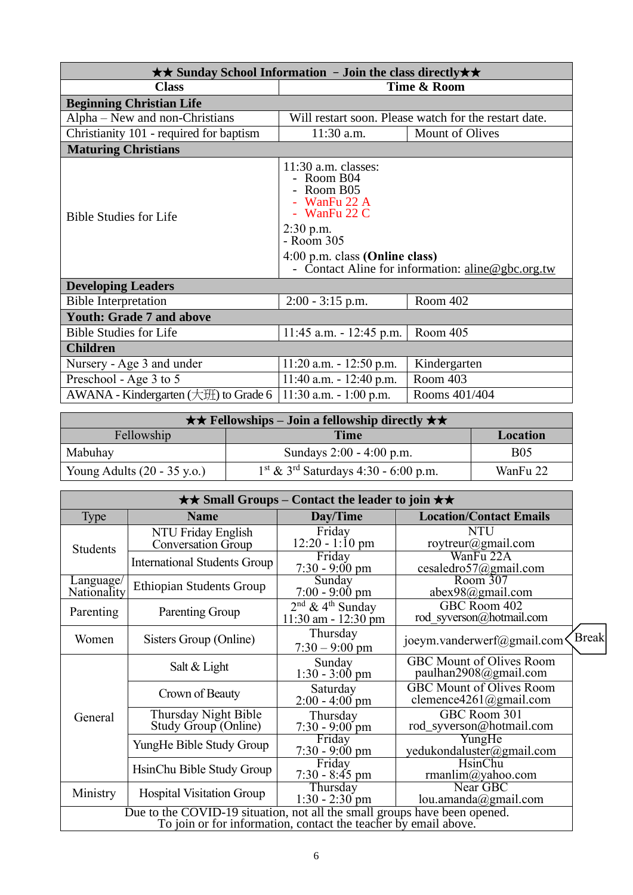| $\star\star$ Sunday School Information - Join the class directly $\star\star$                  |                                                                                                                                                                                                         |                        |  |  |  |  |
|------------------------------------------------------------------------------------------------|---------------------------------------------------------------------------------------------------------------------------------------------------------------------------------------------------------|------------------------|--|--|--|--|
| Time & Room<br><b>Class</b>                                                                    |                                                                                                                                                                                                         |                        |  |  |  |  |
| <b>Beginning Christian Life</b>                                                                |                                                                                                                                                                                                         |                        |  |  |  |  |
| Alpha – New and non-Christians<br>Will restart soon. Please watch for the restart date.        |                                                                                                                                                                                                         |                        |  |  |  |  |
| Christianity 101 - required for baptism                                                        | $11:30$ a.m.                                                                                                                                                                                            | <b>Mount of Olives</b> |  |  |  |  |
| <b>Maturing Christians</b>                                                                     |                                                                                                                                                                                                         |                        |  |  |  |  |
| <b>Bible Studies for Life</b>                                                                  | $11:30$ a.m. classes:<br>- Room B04<br>- Room B05<br>- WanFu 22 A<br>- WanFu $22 C$<br>$2:30$ p.m.<br>- Room 305<br>4:00 p.m. class (Online class)<br>- Contact Aline for information: aline@gbc.org.tw |                        |  |  |  |  |
| <b>Developing Leaders</b>                                                                      |                                                                                                                                                                                                         |                        |  |  |  |  |
| <b>Bible Interpretation</b>                                                                    | $2:00 - 3:15$ p.m.                                                                                                                                                                                      | Room 402               |  |  |  |  |
| <b>Youth: Grade 7 and above</b>                                                                |                                                                                                                                                                                                         |                        |  |  |  |  |
| <b>Bible Studies for Life</b>                                                                  | $11:45$ a.m. $-12:45$ p.m.                                                                                                                                                                              | Room 405               |  |  |  |  |
| <b>Children</b>                                                                                |                                                                                                                                                                                                         |                        |  |  |  |  |
| Nursery - Age 3 and under                                                                      | $11:20$ a.m. $-12:50$ p.m.                                                                                                                                                                              | Kindergarten           |  |  |  |  |
| Preschool - Age 3 to 5                                                                         | Room 403<br>11:40 a.m. $- 12:40$ p.m.                                                                                                                                                                   |                        |  |  |  |  |
| AWANA - Kindergarten $(\pm \text{H})$ to Grade 6<br>$11:30$ a.m. $-1:00$ p.m.<br>Rooms 401/404 |                                                                                                                                                                                                         |                        |  |  |  |  |

| $\star \star$ Fellowships – Join a fellowship directly $\star \star$ |                                                    |            |  |  |
|----------------------------------------------------------------------|----------------------------------------------------|------------|--|--|
| Fellowship<br>Time<br>Location                                       |                                                    |            |  |  |
| Mabuhay                                                              | Sundays 2:00 - 4:00 p.m.                           | <b>B05</b> |  |  |
| Young Adults $(20 - 35 \text{ y.o.})$                                | $1st$ & 3 <sup>rd</sup> Saturdays 4:30 - 6:00 p.m. | WanFu 22   |  |  |

| $\star\star$ Small Groups – Contact the leader to join $\star\star$       |                                                 |                                                           |                                                           |              |  |
|---------------------------------------------------------------------------|-------------------------------------------------|-----------------------------------------------------------|-----------------------------------------------------------|--------------|--|
| Type                                                                      | <b>Name</b>                                     | Day/Time                                                  | <b>Location/Contact Emails</b>                            |              |  |
| <b>Students</b>                                                           | NTU Friday English<br><b>Conversation Group</b> | Friday<br>$12:20 - 1:10 \text{ pm}$                       | <b>NTU</b><br>roytreur@gmail.com                          |              |  |
|                                                                           | International Students Group                    | Friday<br>$7:30 - 9:00 \text{ pm}$                        | WanFu 22A<br>cesaledro57@gmail.com                        |              |  |
| Language/<br>Nationality                                                  | <b>Ethiopian Students Group</b>                 | Sunday<br>$7:00 - 9:00$ pm                                | Room 307<br>abex98@gmail.com                              |              |  |
| Parenting                                                                 | Parenting Group                                 | $2nd$ & 4 <sup>th</sup> Sunday<br>$11:30$ am - $12:30$ pm | GBC Room 402<br>rod syverson@hotmail.com                  |              |  |
| Women                                                                     | Sisters Group (Online)                          | Thursday<br>$7:30 - 9:00$ pm                              | joeym.vanderwerf@gmail.com                                | <b>Break</b> |  |
| General                                                                   | Salt & Light                                    | Sunday<br>$1:30 - 3:00$ pm                                | <b>GBC Mount of Olives Room</b><br>paulhan2908@gmail.com  |              |  |
|                                                                           | Crown of Beauty                                 | Saturday<br>$2:00 - 4:00$ pm                              | <b>GBC Mount of Olives Room</b><br>clemence4261@gmail.com |              |  |
|                                                                           | Thursday Night Bible<br>Study Group (Online)    | Thursday<br>$7:30 - 9:00$ pm                              | GBC Room 301<br>rod_syverson@hotmail.com                  |              |  |
|                                                                           | YungHe Bible Study Group                        | Friday<br>$7:30 - 9:00 \text{ pm}$                        | YungHe<br>yedukondaluster@gmail.com                       |              |  |
|                                                                           | HsinChu Bible Study Group                       | Friday<br>$7:30 - 8:45$ pm                                | HsinChu<br>rmanlim@yahoo.com                              |              |  |
| Ministry                                                                  | <b>Hospital Visitation Group</b>                | Thursday<br>$1:30 - 2:30$ pm                              | Near GBC<br>lou.amanda@gmail.com                          |              |  |
| Due to the COVID-19 situation, not all the small groups have been opened. |                                                 |                                                           |                                                           |              |  |
| To join or for information, contact the teacher by email above.           |                                                 |                                                           |                                                           |              |  |